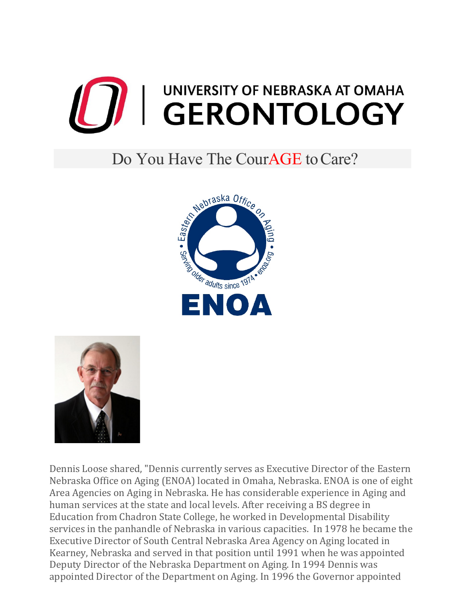

## Do You Have The CourAGE to Care?





Dennis Loose shared, "Dennis currently serves as Executive Director of the Eastern Nebraska Office on Aging (ENOA) located in Omaha, Nebraska. ENOA is one of eight Area Agencies on Aging in Nebraska. He has considerable experience in Aging and human services at the state and local levels. After receiving a BS degree in Education from Chadron State College, he worked in Developmental Disability services in the panhandle of Nebraska in various capacities. In 1978 he became the Executive Director of South Central Nebraska Area Agency on Aging located in Kearney, Nebraska and served in that position until 1991 when he was appointed Deputy Director of the Nebraska Department on Aging. In 1994 Dennis was appointed Director of the Department on Aging. In 1996 the Governor appointed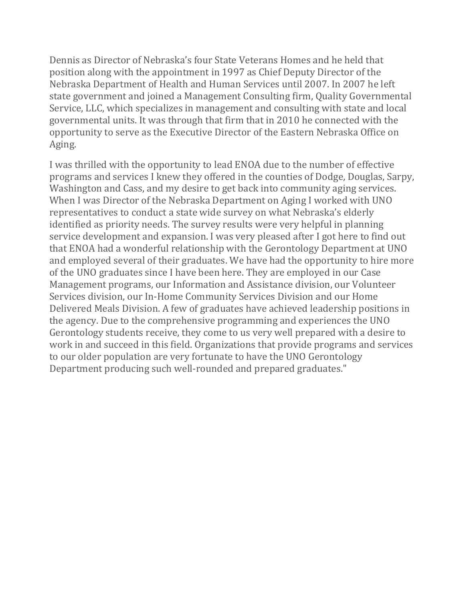Dennis as Director of Nebraska's four State Veterans Homes and he held that position along with the appointment in 1997 as Chief Deputy Director of the Nebraska Department of Health and Human Services until 2007. In 2007 he left state government and joined a Management Consulting firm, Quality Governmental Service, LLC, which specializes in management and consulting with state and local governmental units. It was through that firm that in 2010 he connected with the opportunity to serve as the Executive Director of the Eastern Nebraska Office on Aging.

I was thrilled with the opportunity to lead ENOA due to the number of effective programs and services I knew they offered in the counties of Dodge, Douglas, Sarpy, Washington and Cass, and my desire to get back into community aging services. When I was Director of the Nebraska Department on Aging I worked with UNO representatives to conduct a state wide survey on what Nebraska's elderly identified as priority needs. The survey results were very helpful in planning service development and expansion. I was very pleased after I got here to find out that ENOA had a wonderful relationship with the Gerontology Department at UNO and employed several of their graduates. We have had the opportunity to hire more of the UNO graduates since I have been here. They are employed in our Case Management programs, our Information and Assistance division, our Volunteer Services division, our In-Home Community Services Division and our Home Delivered Meals Division. A few of graduates have achieved leadership positions in the agency. Due to the comprehensive programming and experiences the UNO Gerontology students receive, they come to us very well prepared with a desire to work in and succeed in this field. Organizations that provide programs and services to our older population are very fortunate to have the UNO Gerontology Department producing such well-rounded and prepared graduates."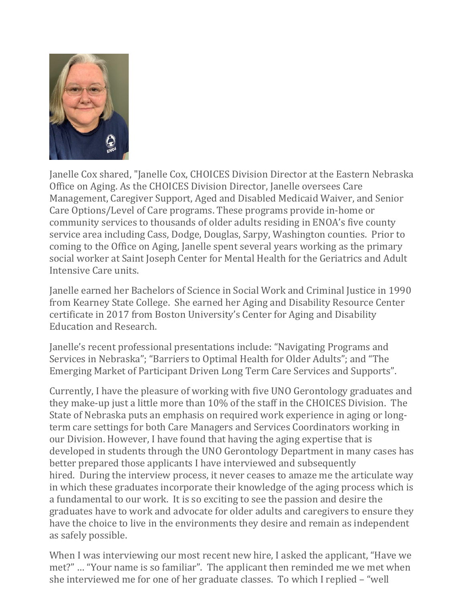

Janelle Cox shared, "Janelle Cox, CHOICES Division Director at the Eastern Nebraska Office on Aging. As the CHOICES Division Director, Janelle oversees Care Management, Caregiver Support, Aged and Disabled Medicaid Waiver, and Senior Care Options/Level of Care programs. These programs provide in-home or community services to thousands of older adults residing in ENOA's five county service area including Cass, Dodge, Douglas, Sarpy, Washington counties. Prior to coming to the Office on Aging, Janelle spent several years working as the primary social worker at Saint Joseph Center for Mental Health for the Geriatrics and Adult Intensive Care units.

Janelle earned her Bachelors of Science in Social Work and Criminal Justice in 1990 from Kearney State College. She earned her Aging and Disability Resource Center certificate in 2017 from Boston University's Center for Aging and Disability Education and Research.

Janelle's recent professional presentations include: "Navigating Programs and Services in Nebraska"; "Barriers to Optimal Health for Older Adults"; and "The Emerging Market of Participant Driven Long Term Care Services and Supports".

Currently, I have the pleasure of working with five UNO Gerontology graduates and they make-up just a little more than 10% of the staff in the CHOICES Division. The State of Nebraska puts an emphasis on required work experience in aging or longterm care settings for both Care Managers and Services Coordinators working in our Division. However, I have found that having the aging expertise that is developed in students through the UNO Gerontology Department in many cases has better prepared those applicants I have interviewed and subsequently hired. During the interview process, it never ceases to amaze me the articulate way in which these graduates incorporate their knowledge of the aging process which is a fundamental to our work. It is so exciting to see the passion and desire the graduates have to work and advocate for older adults and caregivers to ensure they have the choice to live in the environments they desire and remain as independent as safely possible.

When I was interviewing our most recent new hire, I asked the applicant, "Have we met?" … "Your name is so familiar". The applicant then reminded me we met when she interviewed me for one of her graduate classes. To which I replied – "well